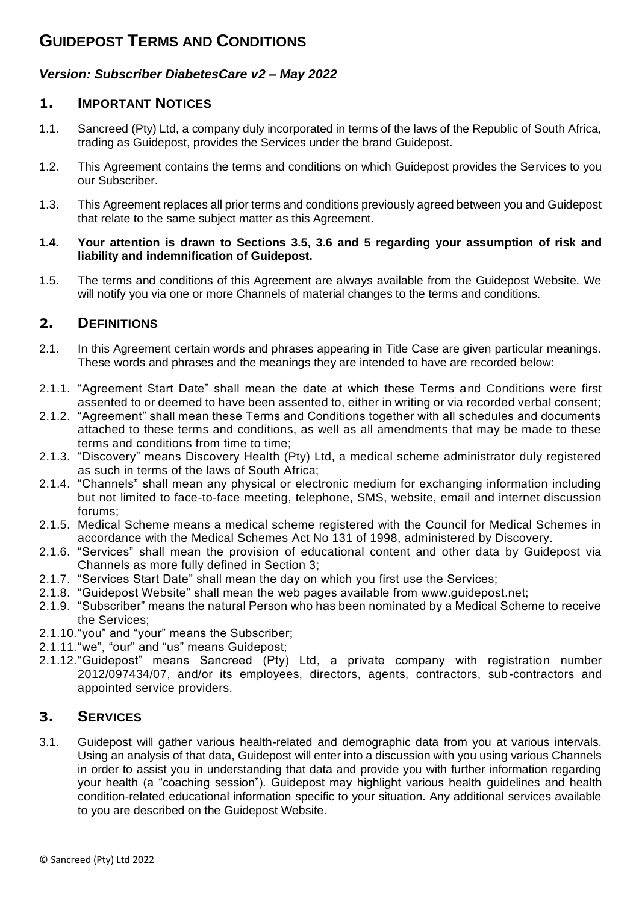# **GUIDEPOST TERMS AND CONDITIONS**

#### *Version: Subscriber DiabetesCare v2 – May 2022*

### **1. IMPORTANT NOTICES**

- 1.1. Sancreed (Pty) Ltd, a company duly incorporated in terms of the laws of the Republic of South Africa, trading as Guidepost, provides the Services under the brand Guidepost.
- 1.2. This Agreement contains the terms and conditions on which Guidepost provides the Services to you our Subscriber.
- 1.3. This Agreement replaces all prior terms and conditions previously agreed between you and Guidepost that relate to the same subject matter as this Agreement.

#### **1.4. Your attention is drawn to Sections 3.5, 3.6 and 5 regarding your assumption of risk and liability and indemnification of Guidepost.**

1.5. The terms and conditions of this Agreement are always available from the Guidepost Website. We will notify you via one or more Channels of material changes to the terms and conditions.

## **2. DEFINITIONS**

- 2.1. In this Agreement certain words and phrases appearing in Title Case are given particular meanings. These words and phrases and the meanings they are intended to have are recorded below:
- 2.1.1. "Agreement Start Date" shall mean the date at which these Terms and Conditions were first assented to or deemed to have been assented to, either in writing or via recorded verbal consent;
- 2.1.2. "Agreement" shall mean these Terms and Conditions together with all schedules and documents attached to these terms and conditions, as well as all amendments that may be made to these terms and conditions from time to time;
- 2.1.3. "Discovery" means Discovery Health (Pty) Ltd, a medical scheme administrator duly registered as such in terms of the laws of South Africa;
- 2.1.4. "Channels" shall mean any physical or electronic medium for exchanging information including but not limited to face-to-face meeting, telephone, SMS, website, email and internet discussion forums;
- 2.1.5. Medical Scheme means a medical scheme registered with the Council for Medical Schemes in accordance with the Medical Schemes Act No 131 of 1998, administered by Discovery.
- 2.1.6. "Services" shall mean the provision of educational content and other data by Guidepost via Channels as more fully defined in Section 3;
- 2.1.7. "Services Start Date" shall mean the day on which you first use the Services;
- 2.1.8. "Guidepost Website" shall mean the web pages available from www.guidepost.net;
- 2.1.9. "Subscriber" means the natural Person who has been nominated by a Medical Scheme to receive the Services;
- 2.1.10."you" and "your" means the Subscriber;
- 2.1.11."we", "our" and "us" means Guidepost;
- 2.1.12."Guidepost" means Sancreed (Pty) Ltd, a private company with registration number 2012/097434/07, and/or its employees, directors, agents, contractors, sub-contractors and appointed service providers.

## **3. SERVICES**

3.1. Guidepost will gather various health-related and demographic data from you at various intervals. Using an analysis of that data, Guidepost will enter into a discussion with you using various Channels in order to assist you in understanding that data and provide you with further information regarding your health (a "coaching session"). Guidepost may highlight various health guidelines and health condition-related educational information specific to your situation. Any additional services available to you are described on the Guidepost Website.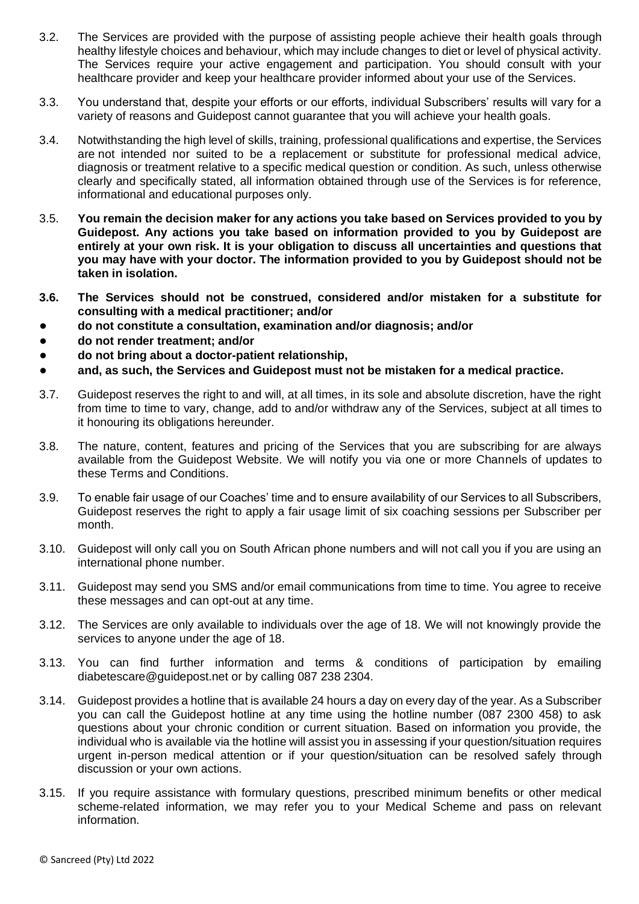- 3.2. The Services are provided with the purpose of assisting people achieve their health goals through healthy lifestyle choices and behaviour, which may include changes to diet or level of physical activity. The Services require your active engagement and participation. You should consult with your healthcare provider and keep your healthcare provider informed about your use of the Services.
- 3.3. You understand that, despite your efforts or our efforts, individual Subscribers' results will vary for a variety of reasons and Guidepost cannot guarantee that you will achieve your health goals.
- 3.4. Notwithstanding the high level of skills, training, professional qualifications and expertise, the Services are not intended nor suited to be a replacement or substitute for professional medical advice, diagnosis or treatment relative to a specific medical question or condition. As such, unless otherwise clearly and specifically stated, all information obtained through use of the Services is for reference, informational and educational purposes only.
- 3.5. **You remain the decision maker for any actions you take based on Services provided to you by Guidepost. Any actions you take based on information provided to you by Guidepost are entirely at your own risk. It is your obligation to discuss all uncertainties and questions that you may have with your doctor. The information provided to you by Guidepost should not be taken in isolation.**
- **3.6. The Services should not be construed, considered and/or mistaken for a substitute for consulting with a medical practitioner; and/or**
- **do not constitute a consultation, examination and/or diagnosis; and/or**
- **do not render treatment; and/or**
- **do not bring about a doctor-patient relationship,**
- **and, as such, the Services and Guidepost must not be mistaken for a medical practice.**
- 3.7. Guidepost reserves the right to and will, at all times, in its sole and absolute discretion, have the right from time to time to vary, change, add to and/or withdraw any of the Services, subject at all times to it honouring its obligations hereunder.
- 3.8. The nature, content, features and pricing of the Services that you are subscribing for are always available from the Guidepost Website. We will notify you via one or more Channels of updates to these Terms and Conditions.
- 3.9. To enable fair usage of our Coaches' time and to ensure availability of our Services to all Subscribers, Guidepost reserves the right to apply a fair usage limit of six coaching sessions per Subscriber per month.
- 3.10. Guidepost will only call you on South African phone numbers and will not call you if you are using an international phone number.
- 3.11. Guidepost may send you SMS and/or email communications from time to time. You agree to receive these messages and can opt-out at any time.
- 3.12. The Services are only available to individuals over the age of 18. We will not knowingly provide the services to anyone under the age of 18.
- 3.13. You can find further information and terms & conditions of participation by emailing diabetescare@guidepost.net or by calling 087 238 2304.
- 3.14. Guidepost provides a hotline that is available 24 hours a day on every day of the year. As a Subscriber you can call the Guidepost hotline at any time using the hotline number (087 2300 458) to ask questions about your chronic condition or current situation. Based on information you provide, the individual who is available via the hotline will assist you in assessing if your question/situation requires urgent in-person medical attention or if your question/situation can be resolved safely through discussion or your own actions.
- 3.15. If you require assistance with formulary questions, prescribed minimum benefits or other medical scheme-related information, we may refer you to your Medical Scheme and pass on relevant information.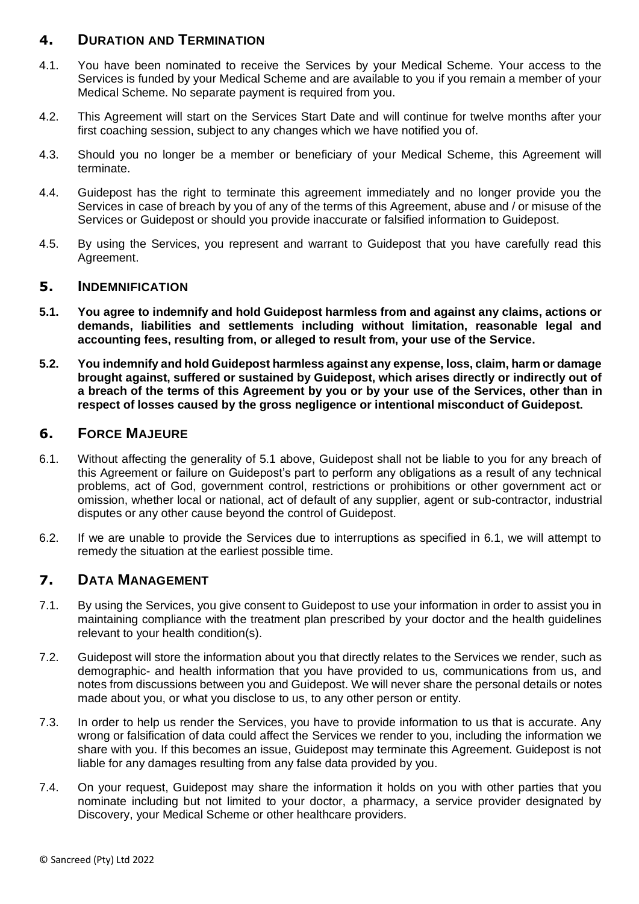## **4. DURATION AND TERMINATION**

- 4.1. You have been nominated to receive the Services by your Medical Scheme. Your access to the Services is funded by your Medical Scheme and are available to you if you remain a member of your Medical Scheme. No separate payment is required from you.
- 4.2. This Agreement will start on the Services Start Date and will continue for twelve months after your first coaching session, subject to any changes which we have notified you of.
- 4.3. Should you no longer be a member or beneficiary of your Medical Scheme, this Agreement will terminate.
- 4.4. Guidepost has the right to terminate this agreement immediately and no longer provide you the Services in case of breach by you of any of the terms of this Agreement, abuse and / or misuse of the Services or Guidepost or should you provide inaccurate or falsified information to Guidepost.
- 4.5. By using the Services, you represent and warrant to Guidepost that you have carefully read this Agreement.

#### **5. INDEMNIFICATION**

- **5.1. You agree to indemnify and hold Guidepost harmless from and against any claims, actions or demands, liabilities and settlements including without limitation, reasonable legal and accounting fees, resulting from, or alleged to result from, your use of the Service.**
- **5.2. You indemnify and hold Guidepost harmless against any expense, loss, claim, harm or damage brought against, suffered or sustained by Guidepost, which arises directly or indirectly out of a breach of the terms of this Agreement by you or by your use of the Services, other than in respect of losses caused by the gross negligence or intentional misconduct of Guidepost.**

#### **6. FORCE MAJEURE**

- 6.1. Without affecting the generality of 5.1 above, Guidepost shall not be liable to you for any breach of this Agreement or failure on Guidepost's part to perform any obligations as a result of any technical problems, act of God, government control, restrictions or prohibitions or other government act or omission, whether local or national, act of default of any supplier, agent or sub-contractor, industrial disputes or any other cause beyond the control of Guidepost.
- 6.2. If we are unable to provide the Services due to interruptions as specified in 6.1, we will attempt to remedy the situation at the earliest possible time.

## **7. DATA MANAGEMENT**

- 7.1. By using the Services, you give consent to Guidepost to use your information in order to assist you in maintaining compliance with the treatment plan prescribed by your doctor and the health guidelines relevant to your health condition(s).
- 7.2. Guidepost will store the information about you that directly relates to the Services we render, such as demographic- and health information that you have provided to us, communications from us, and notes from discussions between you and Guidepost. We will never share the personal details or notes made about you, or what you disclose to us, to any other person or entity.
- 7.3. In order to help us render the Services, you have to provide information to us that is accurate. Any wrong or falsification of data could affect the Services we render to you, including the information we share with you. If this becomes an issue, Guidepost may terminate this Agreement. Guidepost is not liable for any damages resulting from any false data provided by you.
- 7.4. On your request, Guidepost may share the information it holds on you with other parties that you nominate including but not limited to your doctor, a pharmacy, a service provider designated by Discovery, your Medical Scheme or other healthcare providers.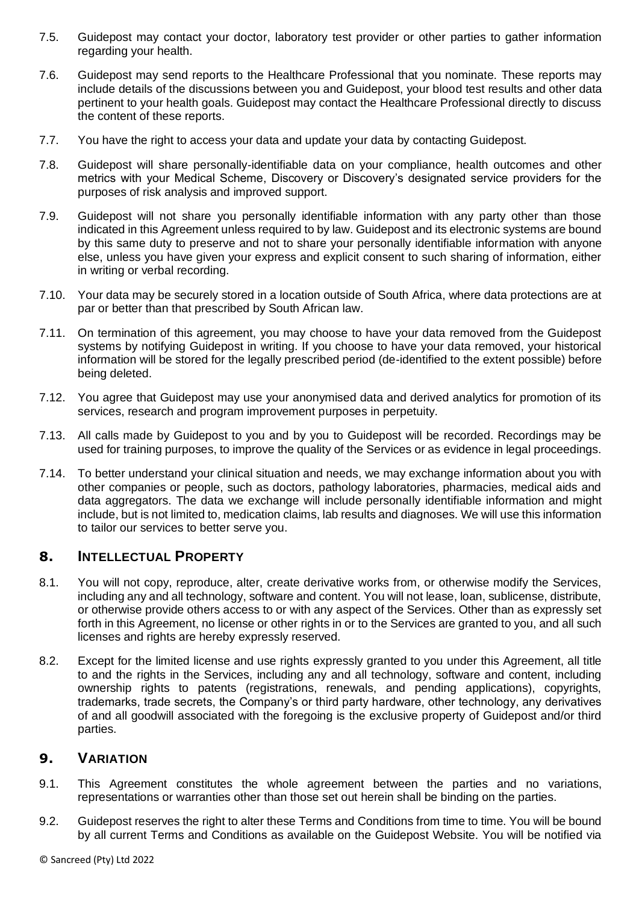- 7.5. Guidepost may contact your doctor, laboratory test provider or other parties to gather information regarding your health.
- 7.6. Guidepost may send reports to the Healthcare Professional that you nominate. These reports may include details of the discussions between you and Guidepost, your blood test results and other data pertinent to your health goals. Guidepost may contact the Healthcare Professional directly to discuss the content of these reports.
- 7.7. You have the right to access your data and update your data by contacting Guidepost.
- 7.8. Guidepost will share personally-identifiable data on your compliance, health outcomes and other metrics with your Medical Scheme, Discovery or Discovery's designated service providers for the purposes of risk analysis and improved support.
- 7.9. Guidepost will not share you personally identifiable information with any party other than those indicated in this Agreement unless required to by law. Guidepost and its electronic systems are bound by this same duty to preserve and not to share your personally identifiable information with anyone else, unless you have given your express and explicit consent to such sharing of information, either in writing or verbal recording.
- 7.10. Your data may be securely stored in a location outside of South Africa, where data protections are at par or better than that prescribed by South African law.
- 7.11. On termination of this agreement, you may choose to have your data removed from the Guidepost systems by notifying Guidepost in writing. If you choose to have your data removed, your historical information will be stored for the legally prescribed period (de-identified to the extent possible) before being deleted.
- 7.12. You agree that Guidepost may use your anonymised data and derived analytics for promotion of its services, research and program improvement purposes in perpetuity.
- 7.13. All calls made by Guidepost to you and by you to Guidepost will be recorded. Recordings may be used for training purposes, to improve the quality of the Services or as evidence in legal proceedings.
- 7.14. To better understand your clinical situation and needs, we may exchange information about you with other companies or people, such as doctors, pathology laboratories, pharmacies, medical aids and data aggregators. The data we exchange will include personally identifiable information and might include, but is not limited to, medication claims, lab results and diagnoses. We will use this information to tailor our services to better serve you.

#### **8. INTELLECTUAL PROPERTY**

- 8.1. You will not copy, reproduce, alter, create derivative works from, or otherwise modify the Services, including any and all technology, software and content. You will not lease, loan, sublicense, distribute, or otherwise provide others access to or with any aspect of the Services. Other than as expressly set forth in this Agreement, no license or other rights in or to the Services are granted to you, and all such licenses and rights are hereby expressly reserved.
- 8.2. Except for the limited license and use rights expressly granted to you under this Agreement, all title to and the rights in the Services, including any and all technology, software and content, including ownership rights to patents (registrations, renewals, and pending applications), copyrights, trademarks, trade secrets, the Company's or third party hardware, other technology, any derivatives of and all goodwill associated with the foregoing is the exclusive property of Guidepost and/or third parties.

#### **9. VARIATION**

- 9.1. This Agreement constitutes the whole agreement between the parties and no variations, representations or warranties other than those set out herein shall be binding on the parties.
- 9.2. Guidepost reserves the right to alter these Terms and Conditions from time to time. You will be bound by all current Terms and Conditions as available on the Guidepost Website. You will be notified via